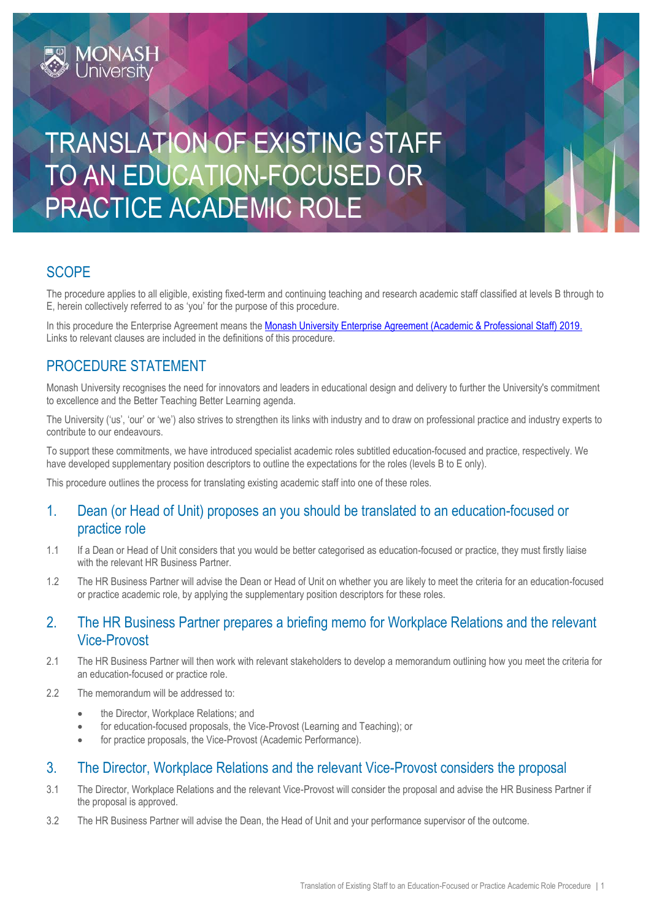# TRANSLATION OF EXISTING STAFF TO AN EDUCATION-FOCUSED OR PRACTICE ACADEMIC ROLE

## **SCOPE**

The procedure applies to all eligible, existing fixed-term and continuing teaching and research academic staff classified at levels B through to E, herein collectively referred to as 'you' for the purpose of this procedure.

In this procedure the Enterprise Agreement means the [Monash University Enterprise Agreement \(Academic & Professional Staff\) 2019.](https://www.monash.edu/current-enterprise-agreements/academic-professional-2019) Links to relevant clauses are included in the definitions of this procedure.

#### PROCEDURE STATEMENT

PROCEDURE

**MONASH**<br>Universitv

Monash University recognises the need for innovators and leaders in educational design and delivery to further the University's commitment to excellence and the Better Teaching Better Learning agenda.

The University ('us', 'our' or 'we') also strives to strengthen its links with industry and to draw on professional practice and industry experts to contribute to our endeavours.

To support these commitments, we have introduced specialist academic roles subtitled education-focused and practice, respectively. We have developed supplementary position descriptors to outline the expectations for the roles (levels B to E only).

This procedure outlines the process for translating existing academic staff into one of these roles.

#### 1. Dean (or Head of Unit) proposes an you should be translated to an education-focused or practice role

- 1.1 If a Dean or Head of Unit considers that you would be better categorised as education-focused or practice, they must firstly liaise with the relevant HR Business Partner.
- 1.2 The HR Business Partner will advise the Dean or Head of Unit on whether you are likely to meet the criteria for an education-focused or practice academic role, by applying the supplementary position descriptors for these roles.

#### 2. The HR Business Partner prepares a briefing memo for Workplace Relations and the relevant Vice-Provost

- 2.1 The HR Business Partner will then work with relevant stakeholders to develop a memorandum outlining how you meet the criteria for an education-focused or practice role.
- 2.2 The memorandum will be addressed to:
	- the Director, Workplace Relations; and
	- for education-focused proposals, the Vice-Provost (Learning and Teaching); or
	- for practice proposals, the Vice-Provost (Academic Performance).

#### 3. The Director, Workplace Relations and the relevant Vice-Provost considers the proposal

- 3.1 The Director, Workplace Relations and the relevant Vice-Provost will consider the proposal and advise the HR Business Partner if the proposal is approved.
- 3.2 The HR Business Partner will advise the Dean, the Head of Unit and your performance supervisor of the outcome.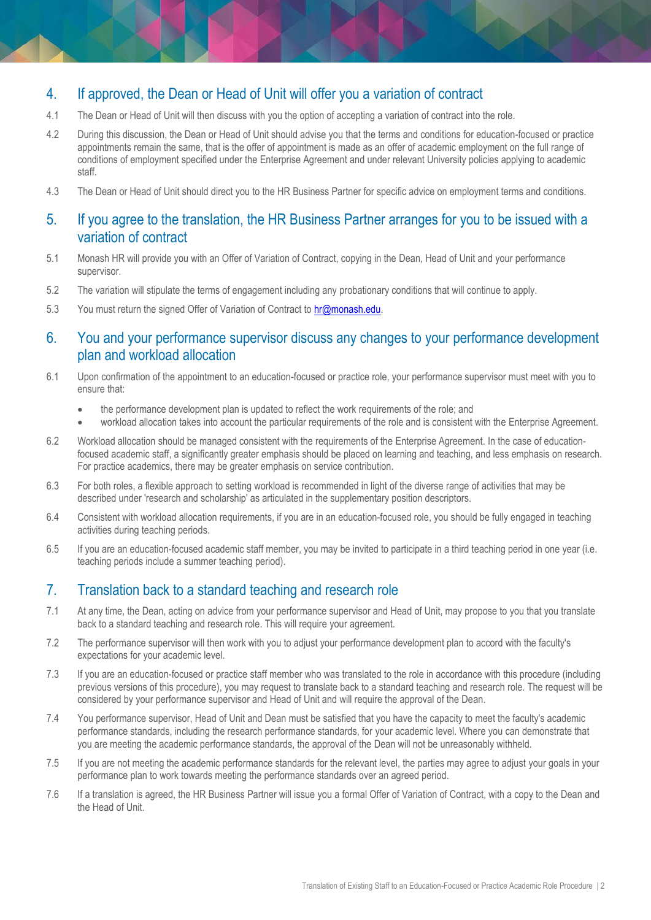## 4. If approved, the Dean or Head of Unit will offer you a variation of contract

- 4.1 The Dean or Head of Unit will then discuss with you the option of accepting a variation of contract into the role.
- 4.2 During this discussion, the Dean or Head of Unit should advise you that the terms and conditions for education-focused or practice appointments remain the same, that is the offer of appointment is made as an offer of academic employment on the full range of conditions of employment specified under the Enterprise Agreement and under relevant University policies applying to academic staff.
- 4.3 The Dean or Head of Unit should direct you to the HR Business Partner for specific advice on employment terms and conditions.

#### 5. If you agree to the translation, the HR Business Partner arranges for you to be issued with a variation of contract

- 5.1 Monash HR will provide you with an Offer of Variation of Contract, copying in the Dean, Head of Unit and your performance supervisor.
- 5.2 The variation will stipulate the terms of engagement including any probationary conditions that will continue to apply.
- 5.3 You must return the signed Offer of Variation of Contract to **[hr@monash.edu.](mailto:hr@monash.edu)**

#### 6. You and your performance supervisor discuss any changes to your performance development plan and workload allocation

- 6.1 Upon confirmation of the appointment to an education-focused or practice role, your performance supervisor must meet with you to ensure that:
	- the performance development plan is updated to reflect the work requirements of the role; and
	- workload allocation takes into account the particular requirements of the role and is consistent with the Enterprise Agreement.
- 6.2 Workload allocation should be managed consistent with the requirements of the Enterprise Agreement. In the case of educationfocused academic staff, a significantly greater emphasis should be placed on learning and teaching, and less emphasis on research. For practice academics, there may be greater emphasis on service contribution.
- 6.3 For both roles, a flexible approach to setting workload is recommended in light of the diverse range of activities that may be described under 'research and scholarship' as articulated in the supplementary position descriptors.
- 6.4 Consistent with workload allocation requirements, if you are in an education-focused role, you should be fully engaged in teaching activities during teaching periods.
- 6.5 If you are an education-focused academic staff member, you may be invited to participate in a third teaching period in one year (i.e. teaching periods include a summer teaching period).

### 7. Translation back to a standard teaching and research role

- 7.1 At any time, the Dean, acting on advice from your performance supervisor and Head of Unit, may propose to you that you translate back to a standard teaching and research role. This will require your agreement.
- 7.2 The performance supervisor will then work with you to adjust your performance development plan to accord with the faculty's expectations for your academic level.
- 7.3 If you are an education-focused or practice staff member who was translated to the role in accordance with this procedure (including previous versions of this procedure), you may request to translate back to a standard teaching and research role. The request will be considered by your performance supervisor and Head of Unit and will require the approval of the Dean.
- 7.4 You performance supervisor, Head of Unit and Dean must be satisfied that you have the capacity to meet the faculty's academic performance standards, including the research performance standards, for your academic level. Where you can demonstrate that you are meeting the academic performance standards, the approval of the Dean will not be unreasonably withheld.
- 7.5 If you are not meeting the academic performance standards for the relevant level, the parties may agree to adjust your goals in your performance plan to work towards meeting the performance standards over an agreed period.
- 7.6 If a translation is agreed, the HR Business Partner will issue you a formal Offer of Variation of Contract, with a copy to the Dean and the Head of Unit.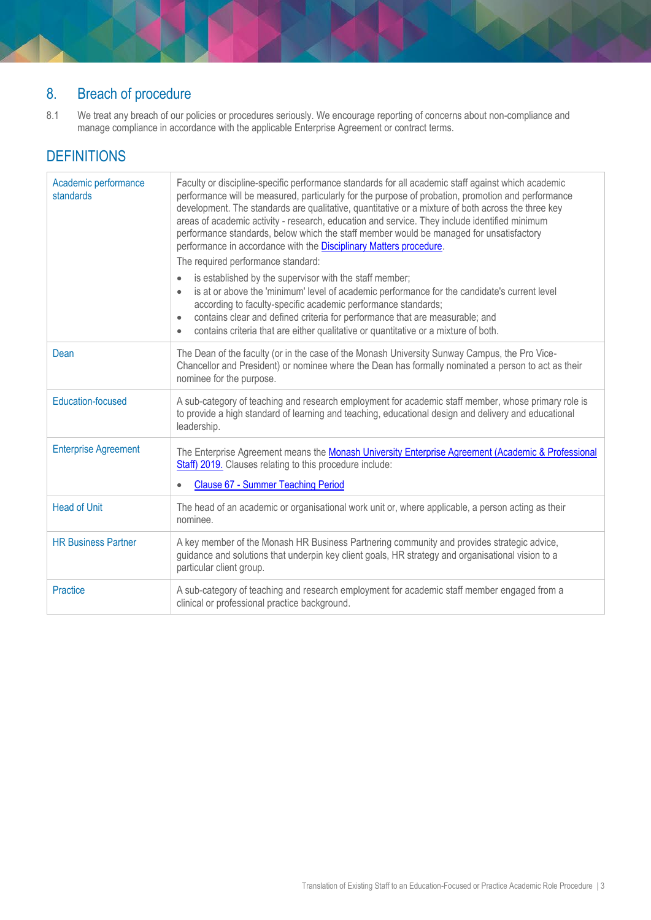# 8. Breach of procedure

8.1 We treat any breach of our policies or procedures seriously. We encourage reporting of concerns about non-compliance and manage compliance in accordance with the applicable Enterprise Agreement or contract terms.

# **DEFINITIONS**

| Academic performance<br>standards | Faculty or discipline-specific performance standards for all academic staff against which academic<br>performance will be measured, particularly for the purpose of probation, promotion and performance<br>development. The standards are qualitative, quantitative or a mixture of both across the three key<br>areas of academic activity - research, education and service. They include identified minimum<br>performance standards, below which the staff member would be managed for unsatisfactory<br>performance in accordance with the Disciplinary Matters procedure.<br>The required performance standard:<br>is established by the supervisor with the staff member;<br>$\bullet$<br>is at or above the 'minimum' level of academic performance for the candidate's current level<br>$\bullet$<br>according to faculty-specific academic performance standards;<br>contains clear and defined criteria for performance that are measurable; and<br>$\bullet$<br>contains criteria that are either qualitative or quantitative or a mixture of both. |
|-----------------------------------|------------------------------------------------------------------------------------------------------------------------------------------------------------------------------------------------------------------------------------------------------------------------------------------------------------------------------------------------------------------------------------------------------------------------------------------------------------------------------------------------------------------------------------------------------------------------------------------------------------------------------------------------------------------------------------------------------------------------------------------------------------------------------------------------------------------------------------------------------------------------------------------------------------------------------------------------------------------------------------------------------------------------------------------------------------------|
| Dean                              | The Dean of the faculty (or in the case of the Monash University Sunway Campus, the Pro Vice-<br>Chancellor and President) or nominee where the Dean has formally nominated a person to act as their<br>nominee for the purpose.                                                                                                                                                                                                                                                                                                                                                                                                                                                                                                                                                                                                                                                                                                                                                                                                                                 |
| <b>Education-focused</b>          | A sub-category of teaching and research employment for academic staff member, whose primary role is<br>to provide a high standard of learning and teaching, educational design and delivery and educational<br>leadership.                                                                                                                                                                                                                                                                                                                                                                                                                                                                                                                                                                                                                                                                                                                                                                                                                                       |
| <b>Enterprise Agreement</b>       | The Enterprise Agreement means the Monash University Enterprise Agreement (Academic & Professional<br>Staff) 2019. Clauses relating to this procedure include:<br><b>Clause 67 - Summer Teaching Period</b>                                                                                                                                                                                                                                                                                                                                                                                                                                                                                                                                                                                                                                                                                                                                                                                                                                                      |
| <b>Head of Unit</b>               | The head of an academic or organisational work unit or, where applicable, a person acting as their<br>nominee.                                                                                                                                                                                                                                                                                                                                                                                                                                                                                                                                                                                                                                                                                                                                                                                                                                                                                                                                                   |
| <b>HR Business Partner</b>        | A key member of the Monash HR Business Partnering community and provides strategic advice,<br>guidance and solutions that underpin key client goals, HR strategy and organisational vision to a<br>particular client group.                                                                                                                                                                                                                                                                                                                                                                                                                                                                                                                                                                                                                                                                                                                                                                                                                                      |
| <b>Practice</b>                   | A sub-category of teaching and research employment for academic staff member engaged from a<br>clinical or professional practice background.                                                                                                                                                                                                                                                                                                                                                                                                                                                                                                                                                                                                                                                                                                                                                                                                                                                                                                                     |